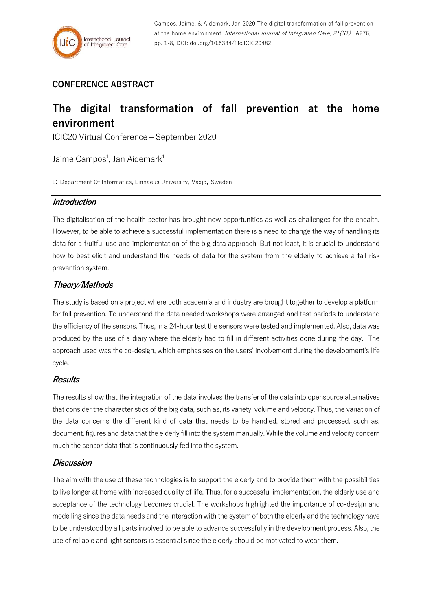# **CONFERENCE ABSTRACT**

# **The digital transformation of fall prevention at the home environment**

ICIC20 Virtual Conference – September 2020

Jaime Campos<sup>1</sup>, Jan Aidemark<sup>1</sup>

1: Department Of Informatics, Linnaeus University, Växjö, Sweden

### **Introduction**

The digitalisation of the health sector has brought new opportunities as well as challenges for the ehealth. However, to be able to achieve a successful implementation there is a need to change the way of handling its data for a fruitful use and implementation of the big data approach. But not least, it is crucial to understand how to best elicit and understand the needs of data for the system from the elderly to achieve a fall risk prevention system.

## **Theory/Methods**

The study is based on a project where both academia and industry are brought together to develop a platform for fall prevention. To understand the data needed workshops were arranged and test periods to understand the efficiency of the sensors. Thus, in a 24-hour test the sensors were tested and implemented. Also, data was produced by the use of a diary where the elderly had to fill in different activities done during the day. The approach used was the co-design, which emphasises on the users' involvement during the development's life cycle.

#### **Results**

The results show that the integration of the data involves the transfer of the data into opensource alternatives that consider the characteristics of the big data, such as, its variety, volume and velocity. Thus, the variation of the data concerns the different kind of data that needs to be handled, stored and processed, such as, document, figures and data that the elderly fill into the system manually. While the volume and velocity concern much the sensor data that is continuously fed into the system.

#### **Discussion**

The aim with the use of these technologies is to support the elderly and to provide them with the possibilities to live longer at home with increased quality of life. Thus, for a successful implementation, the elderly use and acceptance of the technology becomes crucial. The workshops highlighted the importance of co-design and modelling since the data needs and the interaction with the system of both the elderly and the technology have to be understood by all parts involved to be able to advance successfully in the development process. Also, the use of reliable and light sensors is essential since the elderly should be motivated to wear them.